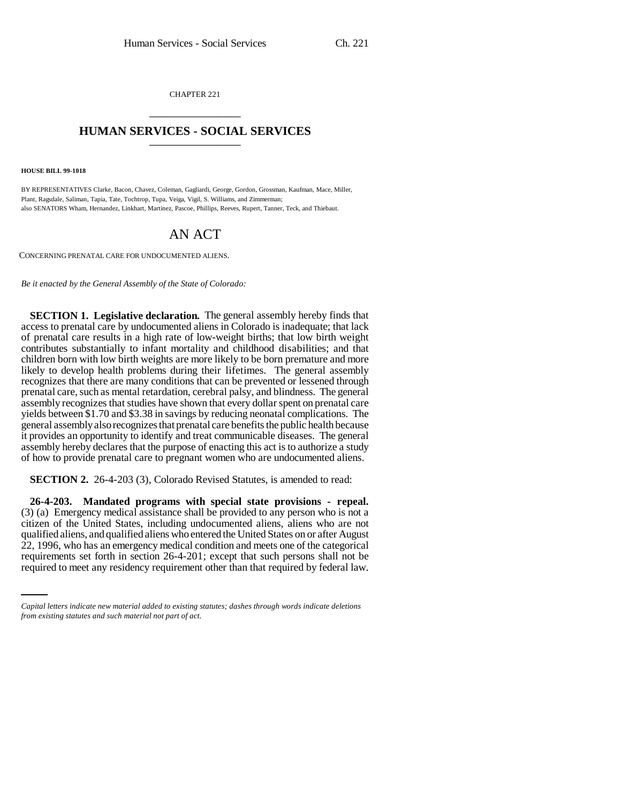CHAPTER 221 \_\_\_\_\_\_\_\_\_\_\_\_\_\_\_

## **HUMAN SERVICES - SOCIAL SERVICES** \_\_\_\_\_\_\_\_\_\_\_\_\_\_\_

**HOUSE BILL 99-1018**

BY REPRESENTATIVES Clarke, Bacon, Chavez, Coleman, Gagliardi, George, Gordon, Grossman, Kaufman, Mace, Miller, Plant, Ragsdale, Saliman, Tapia, Tate, Tochtrop, Tupa, Veiga, Vigil, S. Williams, and Zimmerman; also SENATORS Wham, Hernandez, Linkhart, Martinez, Pascoe, Phillips, Reeves, Rupert, Tanner, Teck, and Thiebaut.

## AN ACT

CONCERNING PRENATAL CARE FOR UNDOCUMENTED ALIENS.

*Be it enacted by the General Assembly of the State of Colorado:*

**SECTION 1. Legislative declaration.** The general assembly hereby finds that access to prenatal care by undocumented aliens in Colorado is inadequate; that lack of prenatal care results in a high rate of low-weight births; that low birth weight contributes substantially to infant mortality and childhood disabilities; and that children born with low birth weights are more likely to be born premature and more likely to develop health problems during their lifetimes. The general assembly recognizes that there are many conditions that can be prevented or lessened through prenatal care, such as mental retardation, cerebral palsy, and blindness. The general assembly recognizes that studies have shown that every dollar spent on prenatal care yields between \$1.70 and \$3.38 in savings by reducing neonatal complications. The general assembly also recognizes that prenatal care benefits the public health because it provides an opportunity to identify and treat communicable diseases. The general assembly hereby declares that the purpose of enacting this act is to authorize a study of how to provide prenatal care to pregnant women who are undocumented aliens.

**SECTION 2.** 26-4-203 (3), Colorado Revised Statutes, is amended to read:

22, 1996, who has an emergency medical condition and meets one of the categorical **26-4-203. Mandated programs with special state provisions - repeal.** (3) (a) Emergency medical assistance shall be provided to any person who is not a citizen of the United States, including undocumented aliens, aliens who are not qualified aliens, and qualified aliens who entered the United States on or after August requirements set forth in section 26-4-201; except that such persons shall not be required to meet any residency requirement other than that required by federal law.

*Capital letters indicate new material added to existing statutes; dashes through words indicate deletions from existing statutes and such material not part of act.*